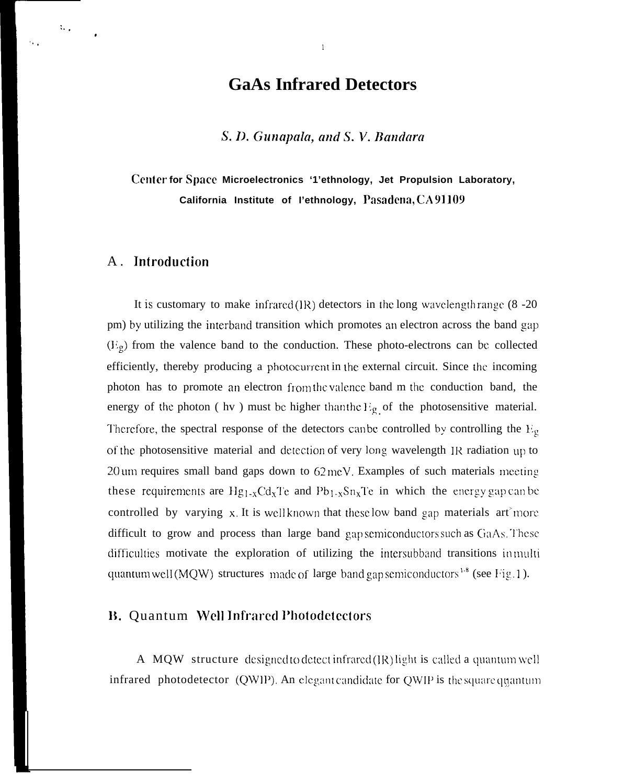# **GaAs Infrared Detectors**

1

S. D. Gunapala, and S. V. Bandara

**Center for Space Microelectronics '1'ethnology, Jet Propulsion Laboratory, California Institute of l'ethnology, Pasadena, CA91109** 

#### A. Introduction

 $\mathcal{U}_\bullet$  .

It is customary to make infrared  $(IR)$  detectors in the long wavelength range (8 -20) pm) by utilizing the interband transition which promotes an electron across the band gap  $(E_g)$  from the valence band to the conduction. These photo-electrons can be collected efficiently, thereby producing a photocurrent in the external circuit. Since the incoming photon has to promote an electron from the valence band m the conduction band, the energy of the photon ( hv ) must be higher than the  $E_g$  of the photosensitive material. Therefore, the spectral response of the detectors can be controlled by controlling the  $E_g$ of the photosensitive material and detection of very long wavelength IR radiation up to  $20 \text{ um requires small band gaps down to } 62 \text{ meV}$ . Examples of such materials meeting these requirements are  $Hg_{1-x}Cd_xTe$  and  $Pb_{1-x}Sn_xTe$  in which the energy gap can be controlled by varying x. It is well known that these low band gap materials art more difficult to grow and process than large band gap semiconductors such as  $GaAs$ . These difficulties motivate the exploration of utilizing the intersubband transitions in multi quantum well (MQW) structures made of large band gap semiconductors  $^{\text{1-8}}$  (see Fig. 1).

# B. Quantum Well Infrared Photodetectors

A MQW structure designed to detect infrared (IR) light is called a quantum well infrared photodetector (QWIP). An elegant candidate for QWIP is the square quantum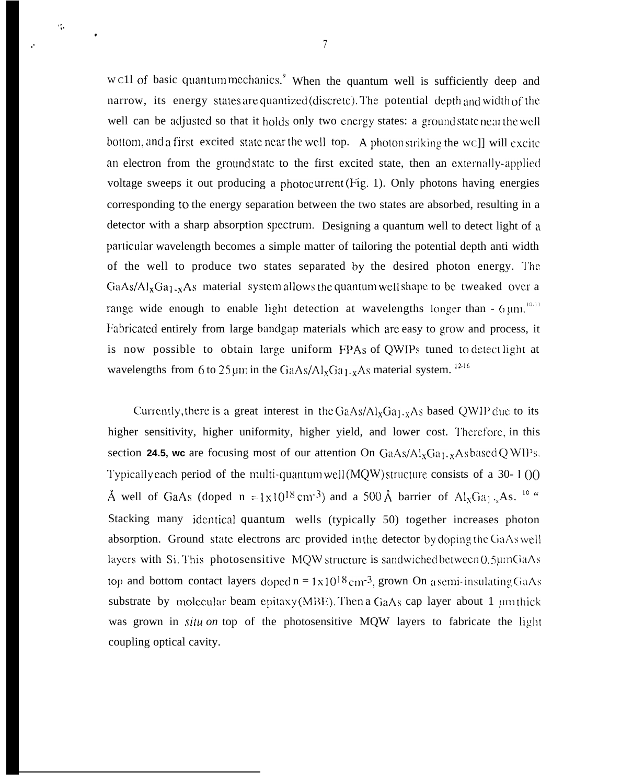w c11 of basic quantum mechanics.<sup>9</sup> When the quantum well is sufficiently deep and narrow, its energy states are quantized (discrete). The potential depth and width of the well can be adjusted so that it holds only two energy states: a ground state near the well bottom, and a first excited state near the well top. A photon striking the WC]] will excite an electron from the ground state to the first excited state, then an externally-applied voltage sweeps it out producing a photocurrent (Fig. 1). Only photons having energies corresponding to the energy separation between the two states are absorbed, resulting in a detector with a sharp absorption spectrum. Designing a quantum well to detect light of a particular wavelength becomes a simple matter of tailoring the potential depth anti width of the well to produce two states separated by the desired photon energy. "1'hc GaAs/Al<sub>x</sub>Ga<sub>1</sub>, As material system allows the quantum well shape to be tweaked over a range wide enough to enable light detection at wavelengths longer than  $-6 \mu m$ .<sup>10.11</sup> Fabricated entirely from large bandgap materials which are easy to grow and process, it is now possible to obtain large uniform FPAs of QWIPs tuned to detect light at wavelengths from 6 to 25 pm in the  $GaAs/Al_xGa_{1-x}As$  material system. <sup>12-16</sup>

Currently, there is a great interest in the  $GaAs/Al_xGa_{1-x}As$  based QWIP due to its higher sensitivity, higher uniformity, higher yield, and lower cost. Therefore, in this section **24.5, we** are focusing most of our attention On  $GaAs/Al_xGa<sub>1</sub>$ , xAs based Q WIPs. Typically each period of the multi-quantum well (MQW) structure consists of a 30- 1 ()() Å well of GaAs (doped  $n = 1 \times 10^{18} \text{ cm}^{-3}$ ) and a 500 Å barrier of Al<sub>x</sub>Ga<sub>1</sub>. As. <sup>10</sup> " Stacking many identical quantum wells (typically 50) together increases photon absorption. Ground state electrons arc provided in the detector by doping the  $GaAs$  well layers with Si. This photosensitive MQW structure is sandwiched between 0.5 um GaAs top and bottom contact layers doped  $n = 1 \times 10^{18}$  cm<sup>-3</sup>, grown On a semi-insulating GaAs substrate by molecular beam epitaxy (MBE). Then a GaAs cap layer about 1 pm thick was grown in *situ on* top of the photosensitive MQW layers to fabricate the light coupling optical cavity.

 $\mathbf{r}$ 

,

,,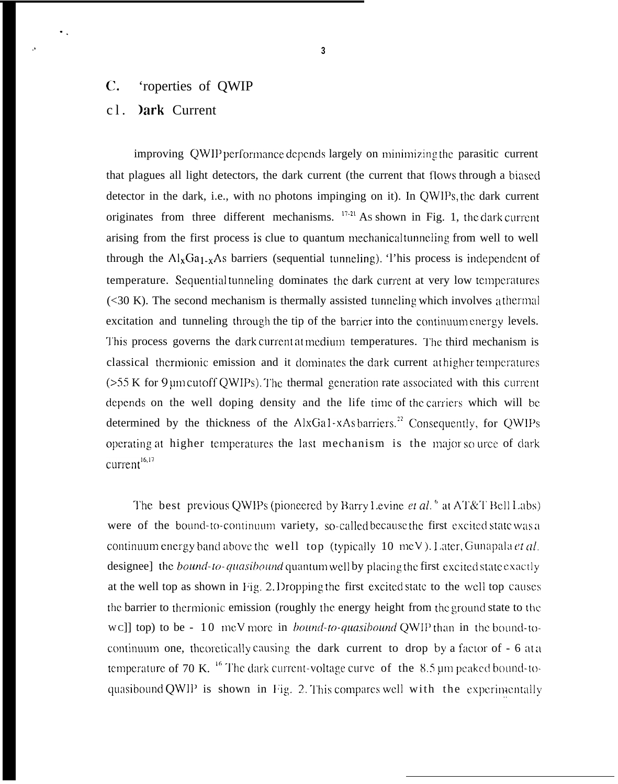#### 'roperties of QWIP  $C_{\cdot}$

#### **Jark** Current  $c1$ .

improving QWIP performance depends largely on minimizing the parasitic current that plagues all light detectors, the dark current (the current that flows through a biased detector in the dark, i.e., with no photons impinging on it). In OWIPs, the dark current originates from three different mechanisms.  $17-21$  As shown in Fig. 1, the dark current arising from the first process is clue to quantum mechanical tunneling from well to well through the  $\text{Al}_x\text{Ga}_{1-x}\text{As}$  barriers (sequential tunneling). This process is independent of temperature. Sequential tunneling dominates the dark current at very low temperatures  $(**30 K**)$ . The second mechanism is thermally assisted tunneling which involves a thermal excitation and tunneling through the tip of the barrier into the continuum energy levels. This process governs the dark current at medium temperatures. The third mechanism is classical thermionic emission and it dominates the dark current at higher temperatures (>55 K for 9 um cutoff QWIPs). The thermal generation rate associated with this current depends on the well doping density and the life time of the carriers which will be determined by the thickness of the AlxGa1-xAs barriers.<sup>22</sup> Consequently, for OWIPs operating at higher temperatures the last mechanism is the major so urce of dark  $current<sup>16,17</sup>$ 

The best previous QWIPs (pioneered by Barry Levine et al.  $\degree$  at AT&T Bell Labs) were of the bound-to-continuum variety, so-called because the first excited state was a continuum energy band above the well top (typically 10 meV). Later, Gunapala et al. designee] the *bound-to-quasibound* quantum well by placing the first excited state exactly at the well top as shown in Fig. 2. Dropping the first excited state to the well top causes the barrier to thermionic emission (roughly the energy height from the ground state to the wc]] top) to be - 10 meV more in *bound-to-quasibound* QWIP than in the bound-tocontinuum one, theoretically causing the dark current to drop by a factor of - 6 at a temperature of 70 K.  $^{16}$  The dark current-voltage curve of the 8.5 um peaked bound-toquasibound QWIP is shown in Fig. 2. This compares well with the experimentally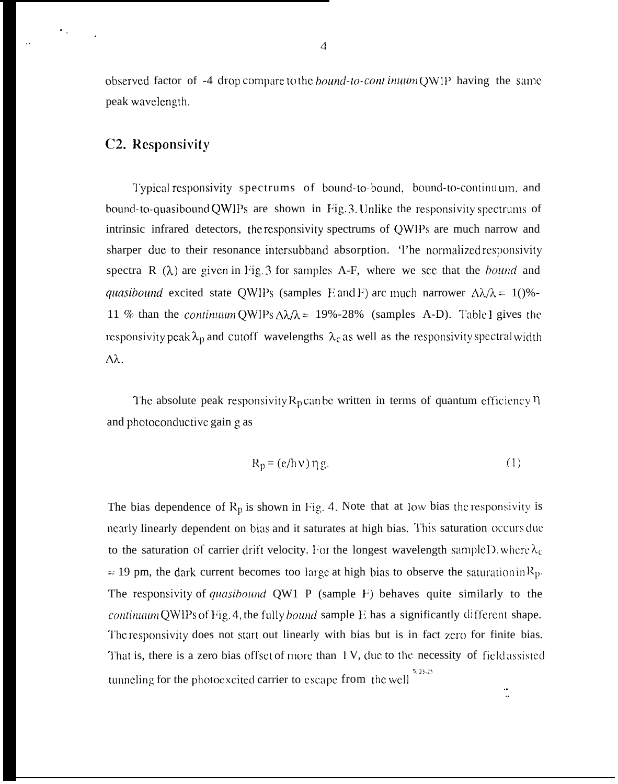observed factor of -4 drop compare to the *bound-to-continuum* OWIP having the same peak wavelength.

### C2. Responsivity

 $\bullet$  .

Typical responsivity spectrums of bound-to-bound, bound-to-continuum, and bound-to-quasibound QWIPs are shown in Fig. 3. Unlike the responsivity spectrums of intrinsic infrared detectors, the responsivity spectrums of QWIPS are much narrow and sharper due to their resonance intersubband absorption. 'I'he normalized responsivity spectra R  $(\lambda)$  are given in Fig. 3 for samples A-F, where we see that the *bound* and *quasibound* excited state QWIPs (samples E and F) arc much narrower  $\Delta \lambda / \lambda = 1(0\% - 1)$ 11 % than the *continuum* QWIPs  $\Delta\lambda/\lambda = 19\% - 28\%$  (samples A-D). Table I gives the responsivity peak  $\lambda_{p}$  and cutoff wavelengths  $\lambda_{c}$  as well as the responsivity spectral width **AA.**

The absolute peak responsivity R<sub>p</sub> can be written in terms of quantum efficiency  $\eta$ and photoconductive gain g as

$$
R_p = (e/h \nu) \eta g. \tag{1}
$$

. . . .

The bias dependence of  $R<sub>p</sub>$  is shown in Fig. 4. Note that at low bias the responsivity is nearly linearly dependent on bias and it saturates at high bias. This saturation occurs due. to the saturation of carrier drift velocity. For the longest wavelength sample D, where  $\lambda_c$  $=$  19 pm, the dark current becomes too large at high bias to observe the saturation in R<sub>p</sub>. The responsivity of *quasibound* QW1 P (sample F) behaves quite similarly to the *continuum* QWIPs of Fig. 4, the fully *bound* sample E has a significantly different shape. The responsivity does not start out linearly with bias but is in fact zero for finite bias. That is, there is a zero bias offset of more than 1V, due to the necessity of field assisted tunneling for the photoexcited carrier to escape from the well  $\frac{5, 23.25}{2}$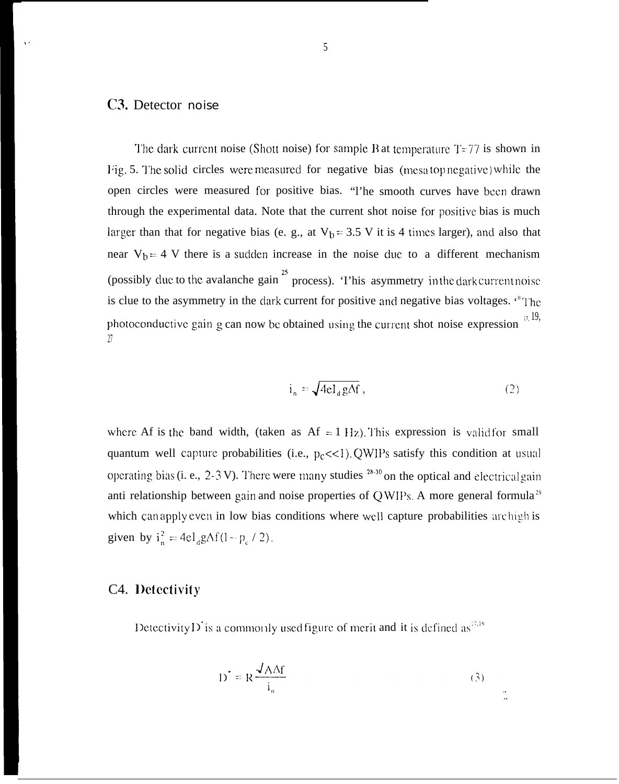### C3. Detector noise

The dark current noise (Shott noise) for sample B at temperature  $T=77$  is shown in Fig. 5. The solid circles were measured for negative bias (mesa top negative) while the open circles were measured for positive bias. "l'he smooth curves have been drawn through the experimental data. Note that the current shot noise for positive bias is much larger than that for negative bias (e. g., at  $V_b = 3.5$  V it is 4 times larger), and also that near  $V_b = 4$  V there is a sudden increase in the noise due to a different mechanism (possibly due to the avalanche gain  $\overline{P}$  process). 'I'his asymmetry in the dark current noise is clue to the asymmetry in the dark current for positive and negative bias voltages. "The photoconductive gain g can now be obtained using the current shot noise expression  $\sqrt{19}$ , 27

$$
i_n = \sqrt{4el_d g\Delta f}, \qquad (2)
$$

where Af is the band width, (taken as  $Af = 1 Hz$ ). This expression is valid for small quantum well capture probabilities (i.e.,  $p_c \ll 1$ ). QWIPs satisfy this condition at usual operating bias (i. e.,  $2-3$  V). There were many studies  $2^{8.30}$  on the optical and electrical gain anti relationship between gain and noise properties of  $Q WIPs$ . A more general formula<sup>29</sup> which can apply even in low bias conditions where well capture probabilities are high is given by  $i_n^2 = 4eI_d g\Delta f(1-p_c / 2)$ .

# C4. Detectivity

Detectivity D is a commonly used figure of merit and it is defined as  $(2.19)$ 

$$
D^* = R \frac{\sqrt{A\Delta f}}{i_n}
$$
 (3)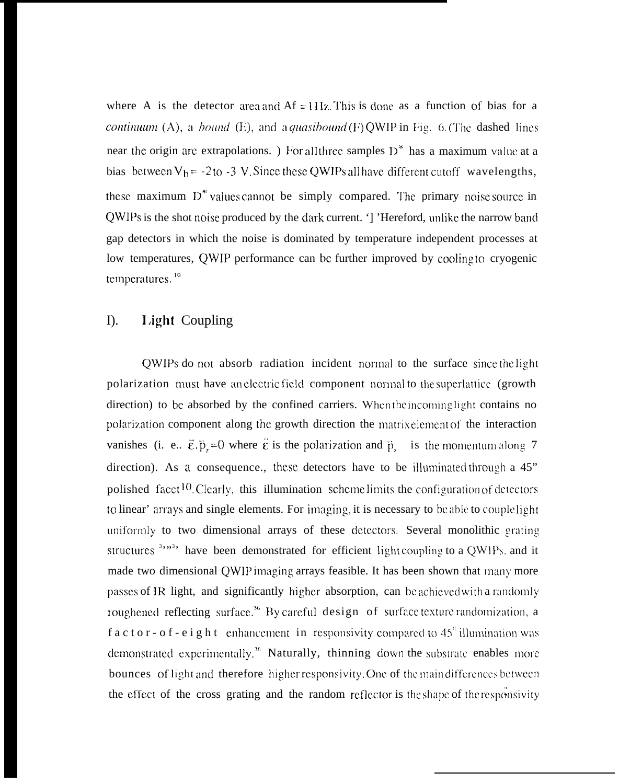where A is the detector area and  $Af = 1Hz$ . This is done as a function of bias for a continuum (A), a bound (E), and a *quasibound* (F) QWIP in Fig. 6. (The dashed lines near the origin are extrapolations. ) For all three samples  $D^*$  has a maximum value at a bias between  $V_b = -2$  to -3 V. Since these QWIPs all have different cutoff wavelengths, these maximum  $D^*$  values cannot be simply compared. The primary noise source in QWIPS is the shot noise produced by the dark current. '] 'Hereford, unlike the narrow bami gap detectors in which the noise is dominated by temperature independent processes at low temperatures, QWIP performance can be further improved by cooling to cryogenic temperatures.<sup>10</sup>

# I). Light Coupling

QWIPs do not absorb radiation incident normal to the surface since the light polarization must have an electric field component normal to the superlattice (growth direction) to be absorbed by the confined carriers. When the incoming light contains no polarization component along the growth direction the matrix element of the interaction vanishes (i. e..  $\vec{\varepsilon} \cdot \vec{p}_z = 0$  where  $\vec{\varepsilon}$  is the polarization and  $\vec{p}_z$  is the momentum along 7 direction). As a consequence., these detectors have to be illuminated through a  $45"$ polished facet  $10$ . Clearly, this illumination scheme limits the configuration of detectors to linear' arrays and single elements. For imaging, it is necessary to be able to couple light uniformly to two dimensional arrays of these detectors. Several monolithic grating structures  $3, 3, 3$  have been demonstrated for efficient light coupling to a QWIPs, and it made two dimensional QWIP imaging arrays feasible. It has been shown that many more passes of IR light, and significantly higher absorption, can be achieved with a randomly roughened reflecting surface.<sup>36</sup> By careful design of surface texture randomization, a factor-of-eight enhancement in responsivity compared to  $45^\circ$  illumination was demonstrated experimentally.<sup>36</sup> Naturally, thinning down the substrate enables more bounces of light and therefore higher responsivity. One of the main differences between the effect of the cross grating and the random reflector is the shape of the responsivity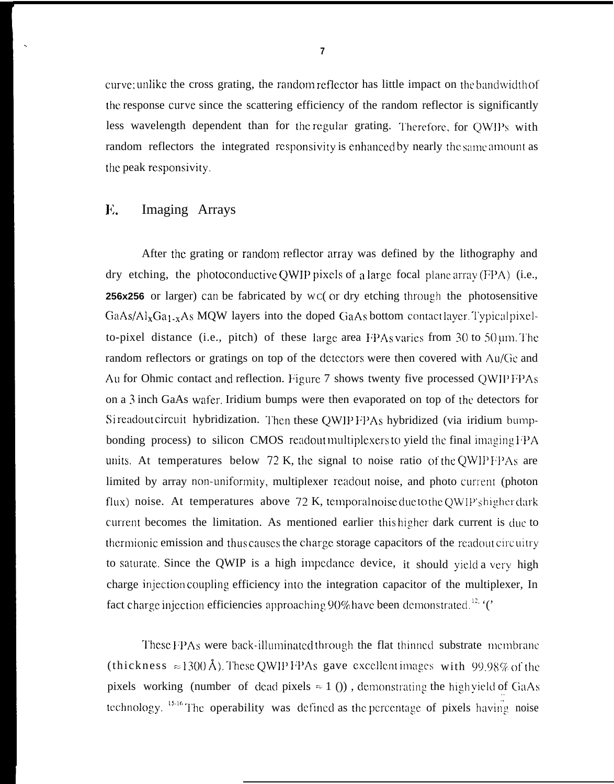curve; unlike the cross grating, the random reflector has little impact on the bandwidth of the response curve since the scattering efficiency of the random reflector is significantly less wavelength dependent than for the regular grating. Therefore, for OWIPs with random reflectors the integrated responsivity is enhanced by nearly the same amount as the peak responsivity.

# E. Imaging Arrays

.

After the grating or random reflector array was defined by the lithography and dry etching, the photoconductive QWIP pixels of a large focal plane array  $(FPA)$  (i.e., **256x256** or larger) can be fabricated by WC( or dry etching through the photosensitive  $GaAs/Al<sub>x</sub>Ga<sub>1-x</sub>As MQW layers into the doped GaAs bottom contact layer. Typical pixel$ to-pixel distance (i.e., pitch) of these large area I<sup>{P}</sup>As varies from 30 to 50  $\mu$ m. The random reflectors or gratings on top of the detectors were then covered with Au/Ge and Au for Ohmic contact and reflection. Figure 7 shows twenty five processed QWIPFPAs on a 3 inch GaAs wafer. Iridium bumps were then evaporated on top of the detectors for Si readout circuit hybridization. Then these OWIP FPAs hybridized (via iridium bumpbonding process) to silicon CMOS readout multiplexers to yield the final imaging FPA units. At temperatures below 72 K, the signal to noise ratio of the QWIP FPAs are limited by array non-uniformity, multiplexer readout noise, and photo current (photon flux) noise. At temperatures above  $72$  K, temporal noise due to the QWIP's higher dark current becomes the limitation. As mentioned earlier this higher dark current is due to thermionic emission and thus causes the charge storage capacitors of the readout circuitry to saturate. Since the QWIP is a high impedance device, it should vield a very high charge injection coupling efficiency into the integration capacitor of the multiplexer. In fact charge injection efficiencies approaching, 90% have been demonstrated.<sup>12, "</sup>('

These IPAs were back-illuminated through the flat thinned substrate membrane (thickness  $\approx 1300 \text{ Å}$ ). These QWIP FPAs gave excellent images with 99.98% of the pixels working (number of dead pixels  $\approx 1$  ()), demonstrating the high yield of GaAs technology.  $^{15.16}$  The operability was defined as the percentage of pixels having noise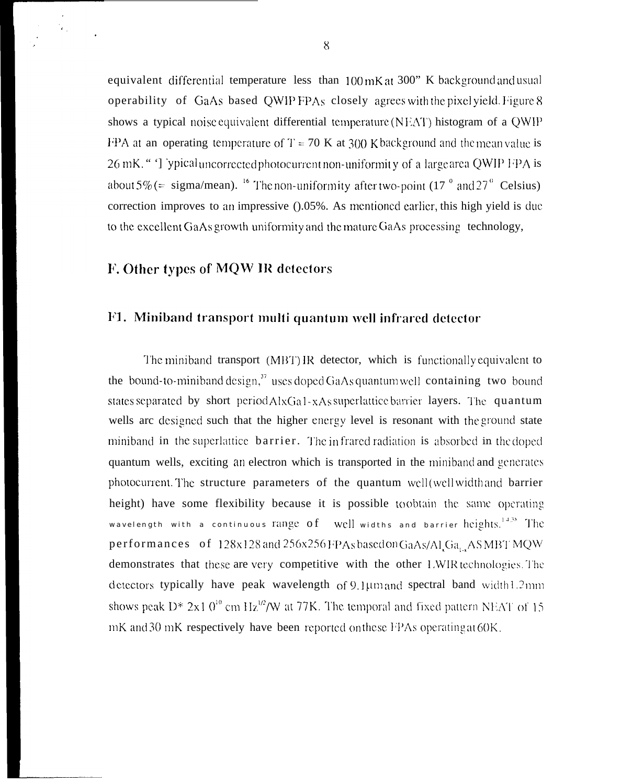equivalent differential temperature less than 100 mK at 300" K background and usual operability of GaAs based QWIP FPAs closely agrees with the pixel yield. Figure 8 shows a typical noise equivalent differential temperature (NEAT) histogram of a OWIP FPA at an operating temperature of  $T = 70$  K at 300 K background and the mean value is 26 mK. "I 'ypical uncorrected photocurrent non-uniformit y of a large area OWIP I-PA is about  $5\%$  (= sigma/mean). <sup>16</sup> The non-uniform ity after two-point (17<sup>o</sup> and 27<sup>o</sup> Celsius) correction improves to an impressive ().05%. As mentioned earlier, this high yield is due to the excellent GaAs growth uniformity and the mature GaAs processing technology,

## F. Other types of MQW IR detectors

 $\mathcal{C}_{\mathbf{r},\mathbf{r}}$ 

#### F1. Miniband transport multi quantum well infrared detector

The miniband transport (MBT) IR detector, which is functionally equivalent to the bound-to-miniband design, $37$  uses doped GaAs quantum well containing two bound states separated by short period AlxGa1-xAs superlattice barrier layers. The quantum wells arc designed such that the higher energy level is resonant with the ground state miniband in the superlattice barrier. The infrared radiation is absorbed in the doped quantum wells, exciting an electron which is transported in the miniband and generates photocurrent. The structure parameters of the quantum well (well width and barrier height) have some flexibility because it is possible toobtain the same operating wavelength with a continuous range of well widths and barrier heights.<sup>14,38</sup> The performances of 128x128 and 256x256 FPAs based on GaAs/Al Ga, ASMBT MQW demonstrates that these are very competitive with the other LWIR technologies. The detectors typically have peak wavelength of 9.1µm and spectral band width1.2mm shows peak  $D^*$  2x1  $0^{10}$  cm  $Hz^{1/2}/W$  at 77K. The temporal and fixed pattern NEAT of 15 mK and 30 mK respectively have been reported on these FPAs operating at 60K.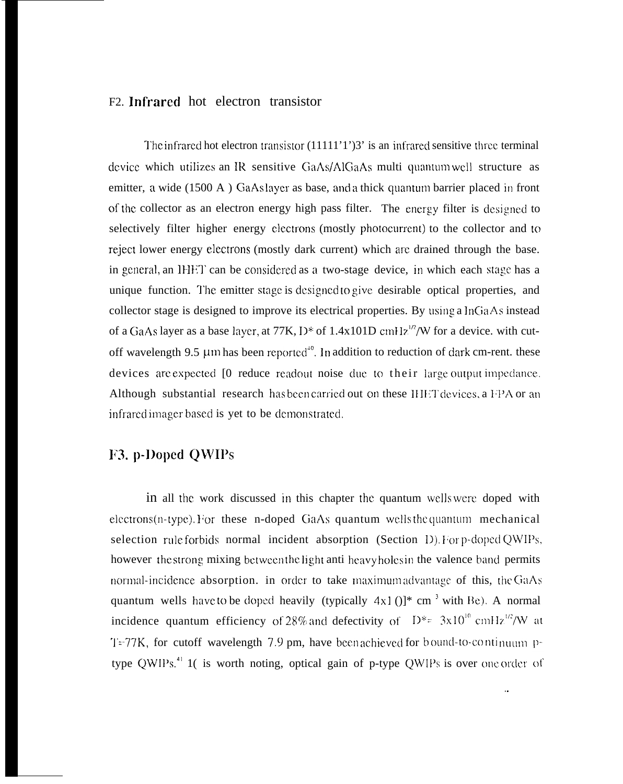### F<sub>2</sub>. Infrared hot electron transistor

The infrared hot electron transistor  $(11111'1')3'$  is an infrared sensitive three terminal cicvicc which utilizes an IR sensitive GaAs/AIGaAs multi quantum well structure as emitter, a wide  $(1500 \text{ A})$  GaAs layer as base, and a thick quantum barrier placed in front of the collector as an electron energy high pass filter. The energy filter is designed to selectively filter higher energy dectrons (mostly photocurrent) to the collector and to reject lower energy electrons (mostly dark current) which are drained through the base. in general, an IHET can be considered as a two-stage device, in which each stage has a unique function. The emitter stage is designed to give desirable optical properties, and collector stage is designed to improve its electrical properties. By using a lnGaAs instead of a GaAs layer as a base layer, at 77K,  $D^*$  of 1.4x101D cmHz<sup>12</sup>/W for a device. with cutoff wavelength 9.5  $\mu$ m has been reported<sup>40</sup>. In addition to reduction of dark cm-rent. these devices are expected [0 reduce readout noise due to their large output impedance, Although substantial research has been carried out on these IIIET devices, a FPA or an infrared imager based is yet to be demonstrated.

# 1~3. p-l)opcd QWIPS

in all the work discussed in this chapter the quantum wells were doped with  $\alpha$  electrons(n-type). For these n-doped GaAs quantum wells the quantum mechanical selection rule forbids normal incident absorption (Section  $D$ ). For p-doped QWIPs, however the strong mixing between the light anti-heavy holes in the valence band permits normal-incidence absorption. in order to take maximum advantage of this, the GaAs quantum wells have to be doped heavily (typically  $4x1()$ <sup>\*</sup> cm<sup>3</sup> with Be). A normal incidence quantum efficiency of 28% and defectivity of  $D^*$ = 3x10<sup>10</sup> cmHz<sup>1/2</sup>/W at  $T = 77K$ , for cutoff wavelength 7.9 pm, have been achieved for bound-to-continuum ptype  $OWIPs<sup>41</sup>$  1( is worth noting, optical gain of p-type  $OWIPs$  is over one order of

. .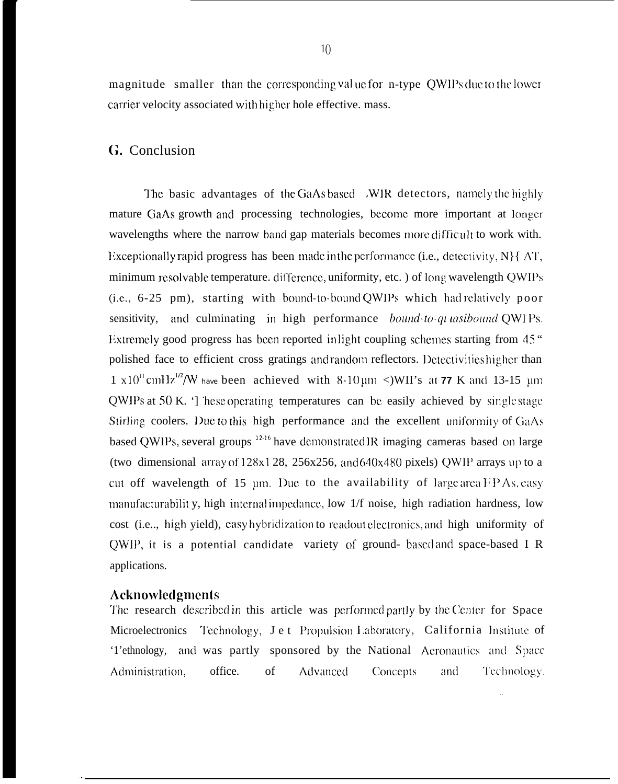magnitude smaller than the corresponding value for n-type QWIPs due to the lower carrier velocity associated with higher hole effective. mass.

#### G. Conclusion

The basic advantages of the GaAs based .WIR detectors, namely the highly mature GaAs growth and processing technologies, become more important at longer wavelengths where the narrow band gap materials becomes more difficult to work with. Exceptionally rapid progress has been made in the performance (i.e., detectivity, N} $\{AT,$ minimum resolvable temperature. difference, uniformity, etc. ) of long wavelength QWIPs (i.e.,  $6-25$  pm), starting with bound-to-bound QWIPs which had relatively poor sensitivity, and culminating in high performance *bound-to-quasibound* QWIPs. Extremely good progress has been reported in light coupling schemes starting from  $45$  " polished face to efficient cross gratings and random reflectors. Detectivities higher than 1 x10<sup>11</sup> cmHz<sup>1/2</sup>/W have been achieved with 8-10  $\mu$ m <)WII's at 77 K and 13-15  $\mu$ m  $QWIPs$  at 50 K. '] hese operating temperatures can be easily achieved by single stage Stirling coolers. Due to this high performance and the excellent uniformity of GaAs based QWIPs, several groups  $12.16$  have demonstrated IR imaging cameras based on large (two dimensional array of  $128x128$ ,  $256x256$ , and  $640x480$  pixels) QWIP arrays up to a cut off wavelength of 15 pm. Due to the availability of large area  $FPAs$ , easy manufacturabilit y, high internal impedance, low 1/f noise, high radiation hardness, low cost (i.e.., high yield), easy hybridization to readout electronics, and high uniformity of  $QWIP$ , it is a potential candidate variety of ground- based and space-based I R applications.

#### Acknowledgments

—

The research described in this article was performed partly by the Center for Space Microelectronics Technology, Jet Propulsion Laboratory, California Institute of '1'ethnology, and was partly sponsored by the National Acronautics and Space Administration, office. of Advanced Concepts and Technology.

. .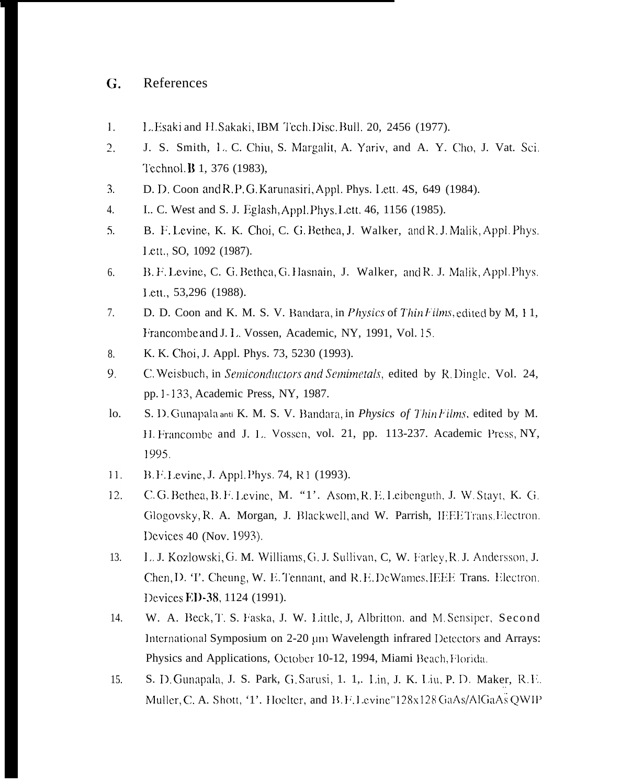#### $\mathbf{G}_{\bullet}$ References

- $1.$ L. Esaki and H. Sakaki, IBM Tech. Disc. Bull. 20, 2456 (1977).
- $2.$ J. S. Smith, L. C. Chiu, S. Margalit, A. Yariv, and A. Y. Cho, J. Vat. Sci. Technol. B 1, 376 (1983),
- $\overline{3}$ . D. D. Coon and R.P.G. Karunasiri, Appl. Phys. Lett. 4S, 649 (1984).
- $\overline{4}$ . I. C. West and S. J. Eglash, Appl. Phys. Lett. 46, 1156 (1985).
- B. F. Levine, K. K. Choi, C. G. Bethea, J. Walker, and R. J. Malik, Appl. Phys.  $5<sub>l</sub>$ Lett., SO, 1092 (1987).
- B. F. Levine, C. G. Bethea, G. Hasnain, J. Walker, and R. J. Malik, Appl. Phys. 6. Lett., 53,296 (1988).
- D. D. Coon and K. M. S. V. Bandara, in *Physics* of *Thin Films*, edited by M, 11,  $7.$ Francombe and J. L. Vossen, Academic, NY, 1991, Vol. 15.
- 8. K. K. Choi, J. Appl. Phys. 73, 5230 (1993).
- 9. C. Weisbuch, in Semiconductors and Semimetals, edited by R. Dingle, Vol. 24, pp. 1-133, Academic Press, NY, 1987.
- $10.$ S. D. Gunapala anti K. M. S. V. Bandara, in *Physics of Thin Films*, edited by M. H. Francombe and J. L. Vossen, vol. 21, pp. 113-237. Academic Press, NY, 1995.
- $11.$ B. F. Levine, J. Appl. Phys. 74, R1 (1993).
- $12.$ C. G. Bethea, B. F. Levine, M. "1'. Asom, R. E. Leibenguth, J. W. Stayt, K. G. Glogovsky, R. A. Morgan, J. Blackwell, and W. Parrish, IEEETrans. Electron. Devices 40 (Nov. 1993).
- L. J. Kozlowski, G. M. Williams, G. J. Sullivan, C. W. Farley, R. J. Andersson, J. 13. Chen, D. T. Cheung, W. E. Tennant, and R. E. De Wames, IEEE Trans. Electron. Devices ED-38, 1124 (1991).
- W. A. Beck, T. S. Faska, J. W. Little, J. Albritton, and M. Sensiper, Second 14. International Symposium on 2-20 um Wavelength infrared Detectors and Arrays: Physics and Applications, October 10-12, 1994, Miami Beach, Florida.
- 15. S. D. Gunapala, J. S. Park, G. Sarusi, 1. 1, Lin, J. K. Liu, P. D. Maker, R. E. Muller, C. A. Shott, '1'. Hoelter, and B. F. Levine"128x128 GaAs/AlGaAs QWIP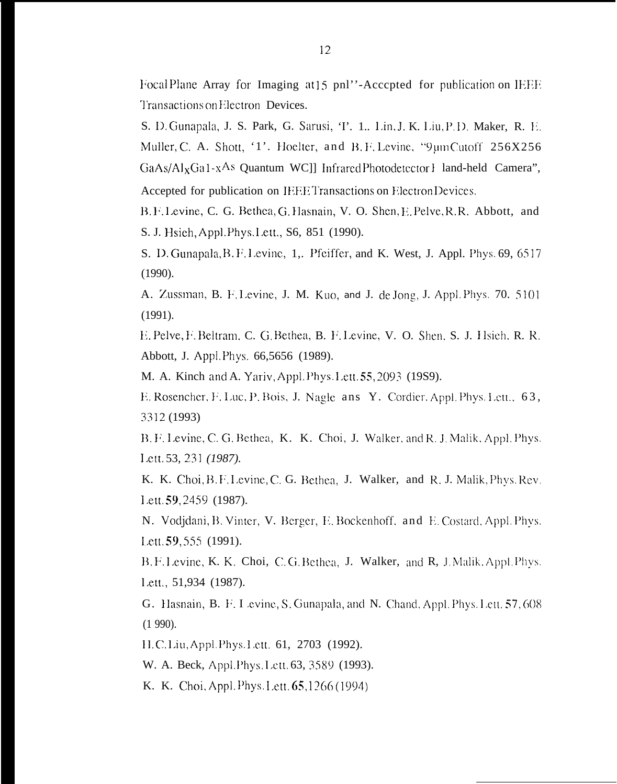Focal Plane Array for Imaging at 15 pnl"-Accepted for publication on IEEE Transactions on Electron Devices.

S. D. Gunapala, J. S. Park, G. Sarusi, T. 1.. Lin, J. K. Liu, P. D. Maker, R. E. Muller, C. A. Shott, '1'. Hoelter, and B.F. Levine, "9umCutoff 256X256  $GaAs/AI_xGa1-xAs$  Quantum WC]] Infrared Photodetector I land-held Camera", Accepted for publication on IEEE Transactions on Electron Devices.

B.F.Levine, C. G. Bethea, G. Hasnain, V. O. Shen, E. Pelve, R.R. Abbott, and S. J. Hsieh, Appl. Phys. Lett., S6, 851 (1990).

S. D. Gunapala, B. F. Levine, 1, Pfeiffer, and K. West, J. Appl. Phys. 69, 6517  $(1990).$ 

A. Zussman, B. F. Levine, J. M. Kuo, and J. de Jong, J. Appl. Phys. 70. 5101  $(1991).$ 

E. Pelve, F. Beltram, C. G. Bethea, B. F. Levine, V. O. Shen, S. J. Hsieh, R. R. Abbott, J. Appl. Phys. 66,5656 (1989).

M. A. Kinch and A. Yariv, Appl. Phys. Lett. 55, 2093 (19S9).

E. Rosencher, F. Luc, P. Bois, J. Nagle ans Y. Cordier. Appl. Phys. Lett., 63, 3312 (1993)

B. F. Levine, C. G. Bethea, K. K. Choi, J. Walker, and R. J. Malik, Appl. Phys. Lett. 53, 231 (1987).

K. K. Choi, B. F. Levine, C. G. Bethea, J. Walker, and R. J. Malik, Phys. Rev. Lett. 59, 2459 (1987).

N. Vodjdani, B. Vinter, V. Berger, E. Bockenhoff, and E. Costard, Appl. Phys. Lett. 59, 555 (1991).

B.F.Levine, K. K. Choi, C. G. Bethea, J. Walker, and R. J. Malik, Appl. Phys. Lett., 51,934 (1987).

G. Hasnain, B. F. I evine, S. Gunapala, and N. Chand, Appl. Phys. Lett. 57, 608  $(1990).$ 

H.C.Liu, Appl. Phys. Lett. 61, 2703 (1992).

W. A. Beck, Appl. Phys. Lett. 63, 3589 (1993).

K. K. Choi, Appl. Phys. Lett. 65, 1266 (1994)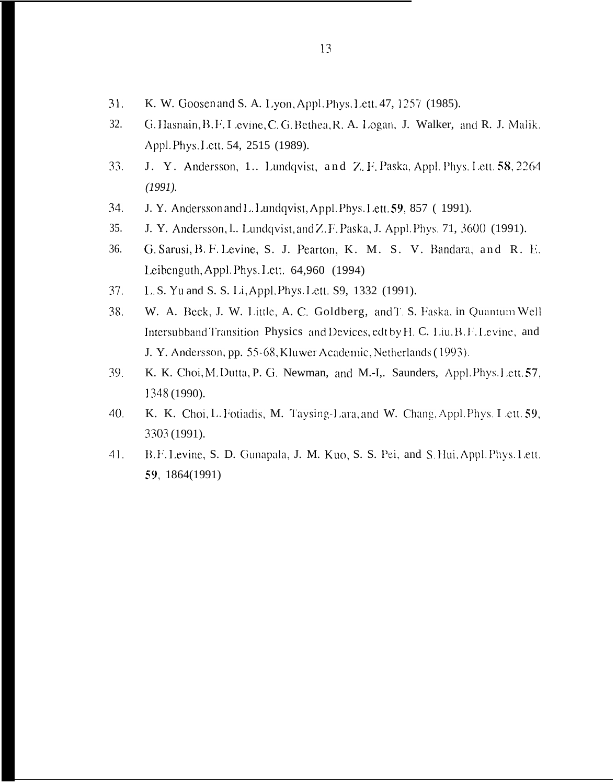- 31. K. W. Goosen and S. A. Lyon, Appl. Phys. Lett. 47, 1257 (1985).
- 32. G. Hasnain, B. F. I evine, C. G. Bethea, R. A. Logan, J. Walker, and R. J. Malik. Appl. Phys. Lett. 54, 2515 (1989).
- 33. J. Y. Andersson, 1.. Lundqvist, and Z.F. Paska, Appl. Phys. Lett. 58, 2264  $(1991)$ .
- J. Y. Andersson and L. Lundqvist, Appl. Phys. Lett. 59, 857 (1991). 34.
- 35. J. Y. Andersson, L. Lundqvist, and Z.F. Paska, J. Appl. Phys. 71, 3600 (1991).
- 36. G. Sarusi, B. F. Levine, S. J. Pearton, K. M. S. V. Bandara, and R. E. Leibenguth, Appl. Phys. Lett. 64,960 (1994)
- 37. L. S. Yu and S. S. Li, Appl, Phys. Lett. S9, 1332 (1991).
- W. A. Beck, J. W. Little, A. C. Goldberg, and T. S. Faska, in Quantum Well 38. Intersubband Transition Physics and Devices, edt by H. C. Liu, B. F. Levine, and J. Y. Andersson, pp. 55-68, Kluwer Academic, Netherlands (1993).
- 39. K. K. Choi, M. Dutta, P. G. Newman, and M.-I,. Saunders, Appl. Phys. Lett. 57, 1348 (1990).
- 40. K. K. Choi, L. Fotiadis, M. Taysing-Lara, and W. Chang, Appl. Phys. I ett. 59, 3303 (1991).
- 41. B.F.Levine, S. D. Gunapala, J. M. Kuo, S. S. Pei, and S. Hui, Appl. Phys. Lett. 59, 1864(1991)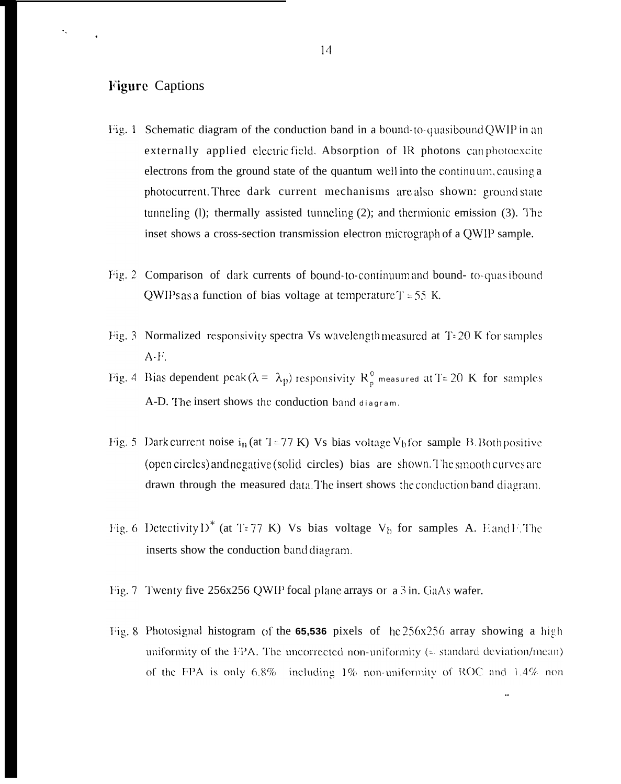### **Figure Captions**

- Fig. 1 Schematic diagram of the conduction band in a bound-to-quasibound QWIP in an externally applied electric field. Absorption of IR photons can photoexcite electrons from the ground state of the quantum well into the continuum, causing a photocurrent. Three dark current mechanisms are also shown: ground state tunneling  $(1)$ ; thermally assisted tunneling  $(2)$ ; and thermionic emission  $(3)$ . The inset shows a cross-section transmission electron micrograph of a QWIP sample.
- Fig. 2 Comparison of dark currents of bound-to-continuum and bound-to-quasibound QWIPs as a function of bias voltage at temperature  $T = 55$  K.
- Fig. 3 Normalized responsivity spectra Vs wavelengthmeasured at  $T = 20 K$  for samples A-F.
- Fig. 4 Bias dependent peak ( $\lambda = \lambda_p$ ) responsivity  $R_p^0$  measured at T= 20 K for samples A-D. The insert shows the conduction band diagram.
- Fig. 5 Dark current noise i<sub>n</sub> (at  $T = 77$  K) Vs bias voltage V<sub>b</sub> for sample B. Both positive (open circles) and negative (solid circles) bias are shown. The smooth curves are drawn through the measured data. The insert shows the conduction band diagram.
- Fig. 6 Detectivity  $D^*$  (at T=77 K) Vs bias voltage  $V_b$  for samples A. Eand F. The inserts show the conduction band diagram.
- Fig. 7 Twenty five 256x256 QWIP focal plane arrays or a 3 in. GaAs wafer.
- Fig. 8 Photosignal histogram of the 65,536 pixels of he 256x256 array showing a high uniformity of the FPA. The uncorrected non-uniformity  $($ = standard deviation/mean) of the FPA is only 6.8% including 1% non-uniformity of ROC and 1.4% non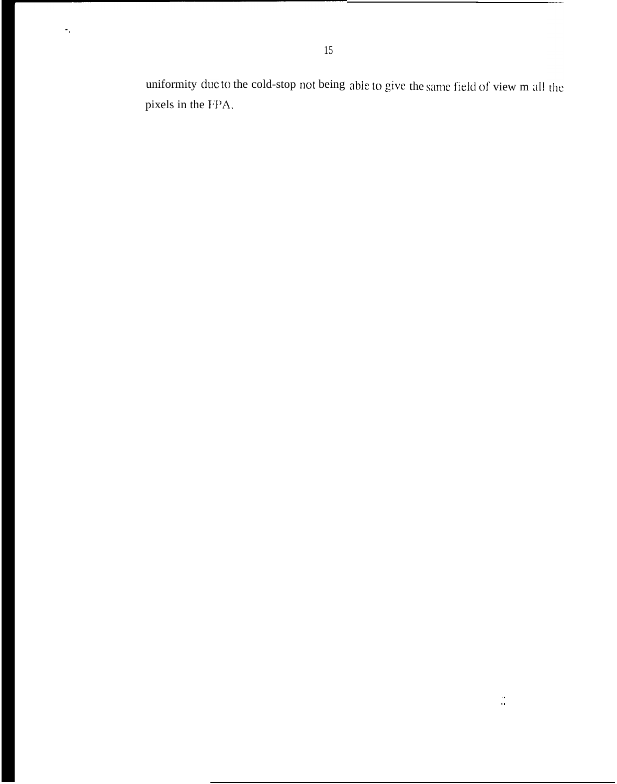$\ddot{\bullet}$ 

uniformity due to the cold-stop not being able to give the same field of view m all the pixels in the FPA.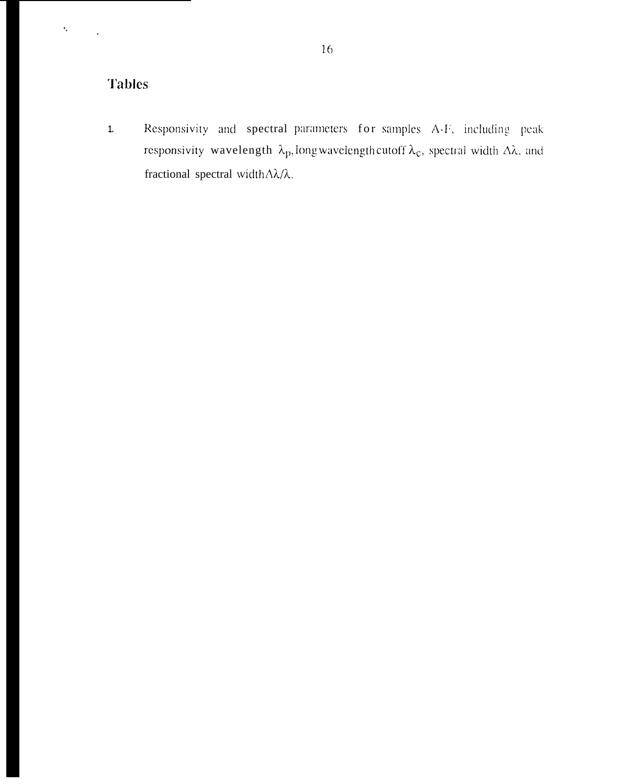$\bar{\eta}$ 

 $\sim$ 

Responsivity and spectral parameters for samples A-F, including peak  $\overline{1}$ . responsivity wavelength  $\lambda_p$ , long wavelength cutoff  $\lambda_c$ , spectral width  $\Delta\lambda$ , and fractional spectral width  $\Delta\lambda/\lambda$ .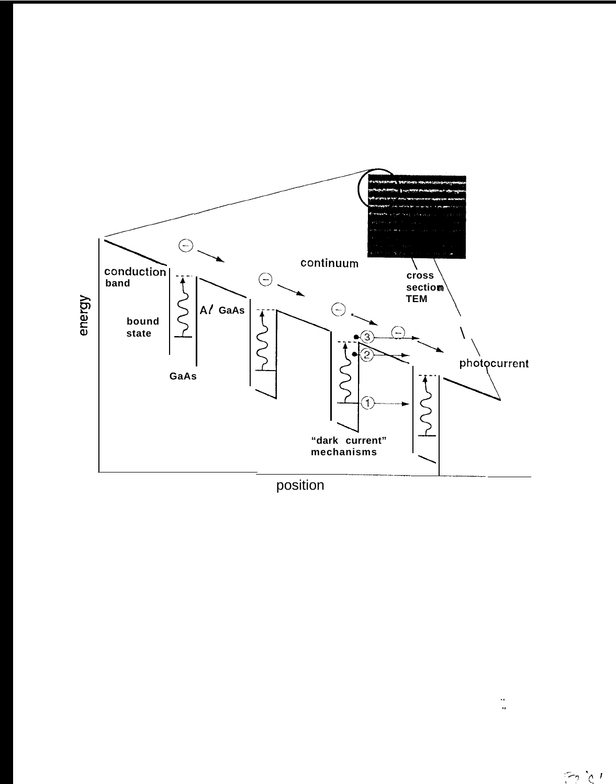

position



 $\frac{1}{2}$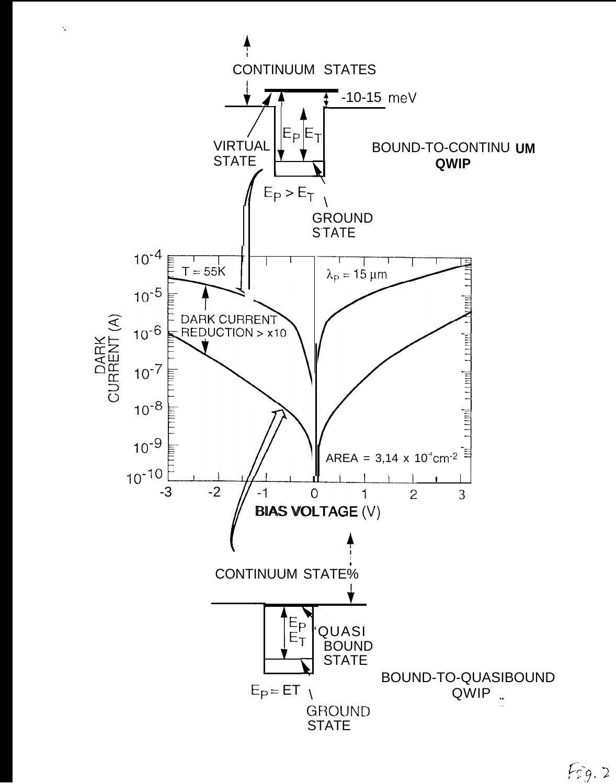

 $Fig. 2$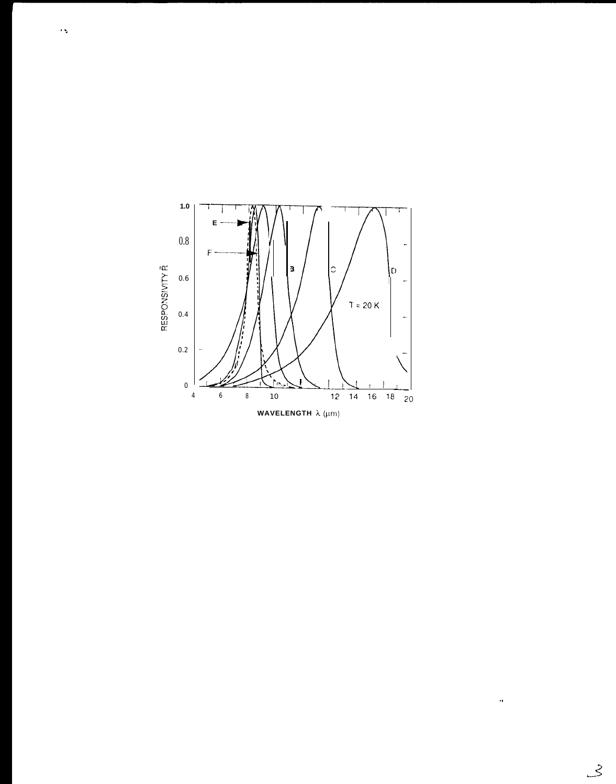

 $\hat{\mathcal{A}}$ 

 $\mathcal{S}$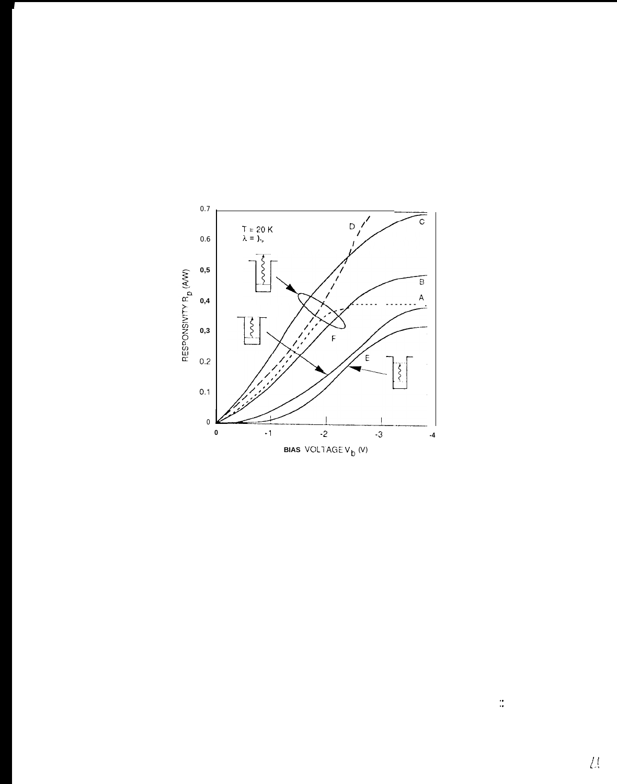

 $\ddot{a}$ 

 $\int_{-\infty}^{\infty}$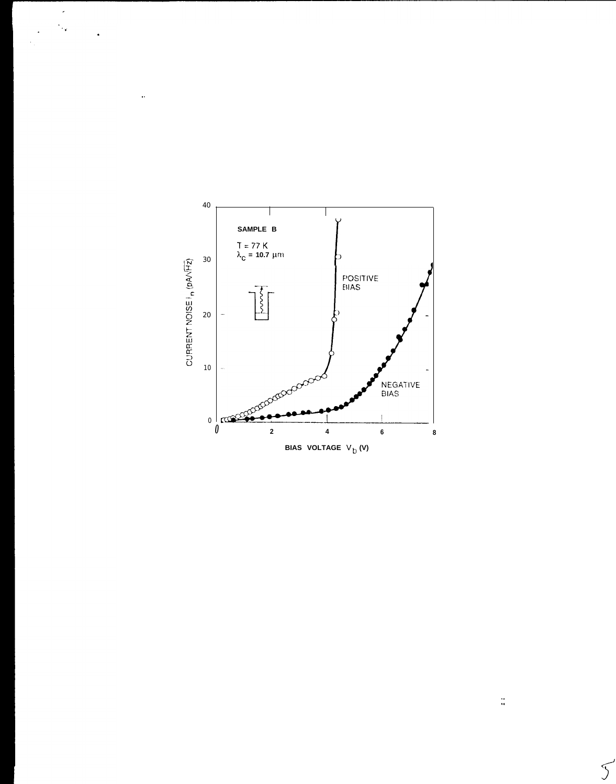

 $\ddot{\phantom{1}}$ 

 $\ddot{\phantom{1}}$ 

 $\ddot{\phantom{a}}$ 

 $\mathcal{L}$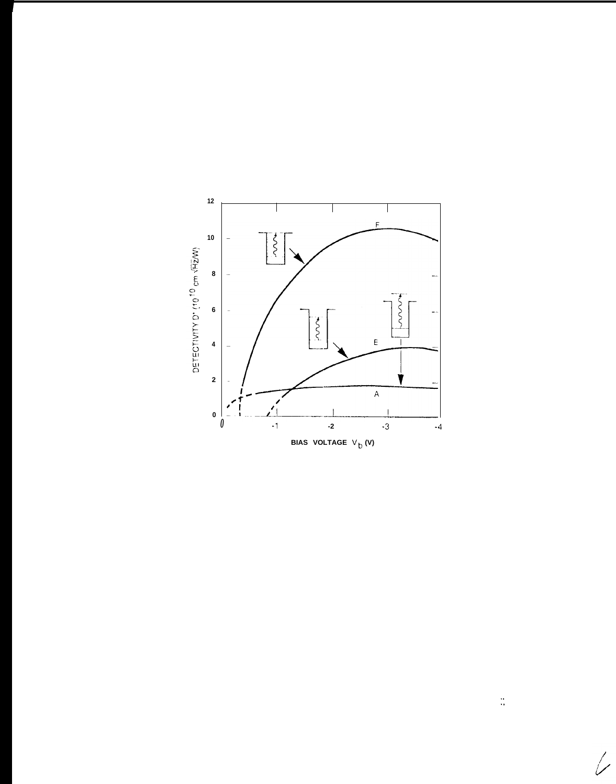

. . . .

 $\overline{\mathcal{L}}$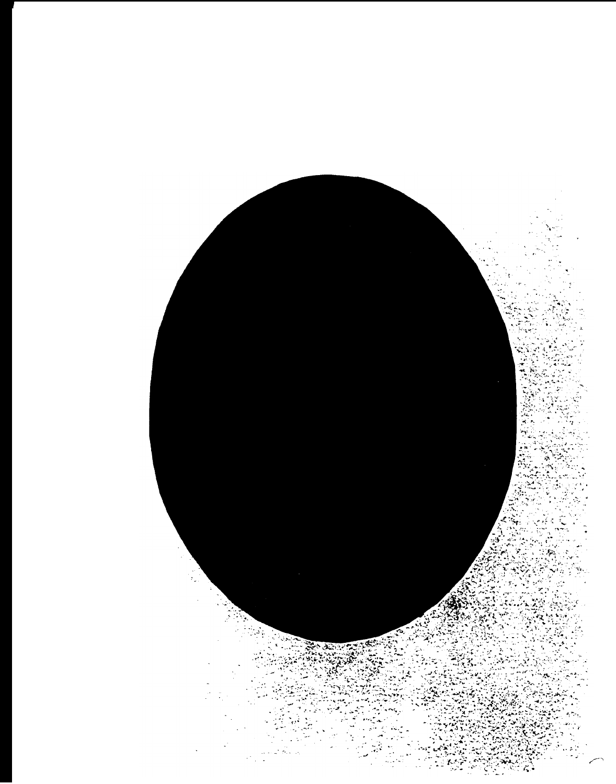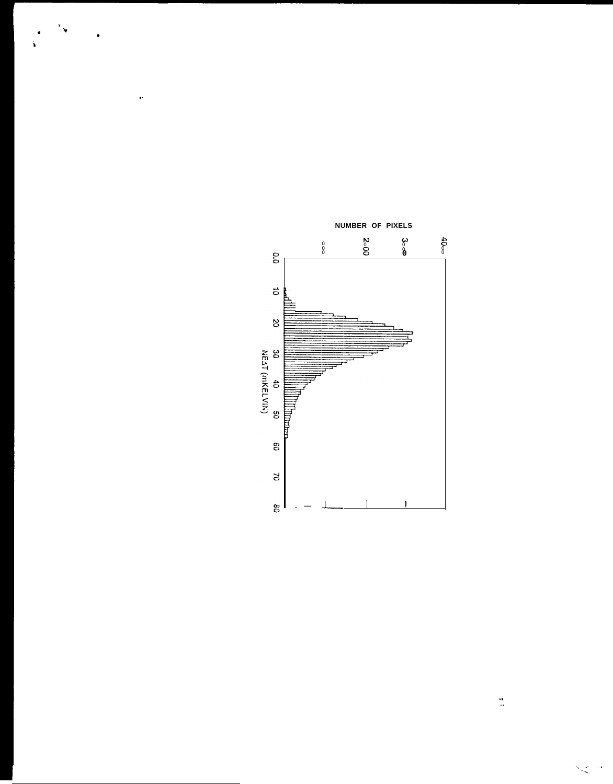

 $\ddot{\gamma}$ 

 $\bullet$ 

 $\ddot{\phantom{1}}$ 

 $\ddot{\phantom{a}}$ 

í,

 $\ddot{\cdot}$ 

à,